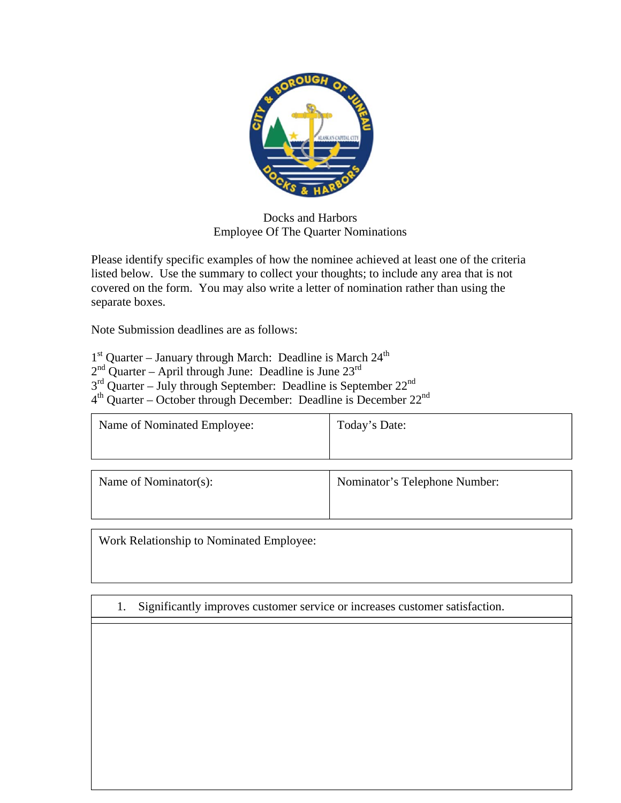

## Docks and Harbors Employee Of The Quarter Nominations

Please identify specific examples of how the nominee achieved at least one of the criteria listed below. Use the summary to collect your thoughts; to include any area that is not covered on the form. You may also write a letter of nomination rather than using the separate boxes.

Note Submission deadlines are as follows:

 $1<sup>st</sup>$  Quarter – January through March: Deadline is March  $24<sup>th</sup>$ 

 $2<sup>nd</sup>$  Quarter – April through June: Deadline is June  $23<sup>rd</sup>$ 

 $3<sup>rd</sup>$  Quarter – July through September: Deadline is September 22<sup>nd</sup>

4th Quarter – October through December: Deadline is December 22nd

| Name of Nominated Employee: | Today's Date:                 |
|-----------------------------|-------------------------------|
|                             |                               |
|                             |                               |
|                             |                               |
| Name of Nominator(s):       | Nominator's Telephone Number: |

Work Relationship to Nominated Employee:

1. Significantly improves customer service or increases customer satisfaction.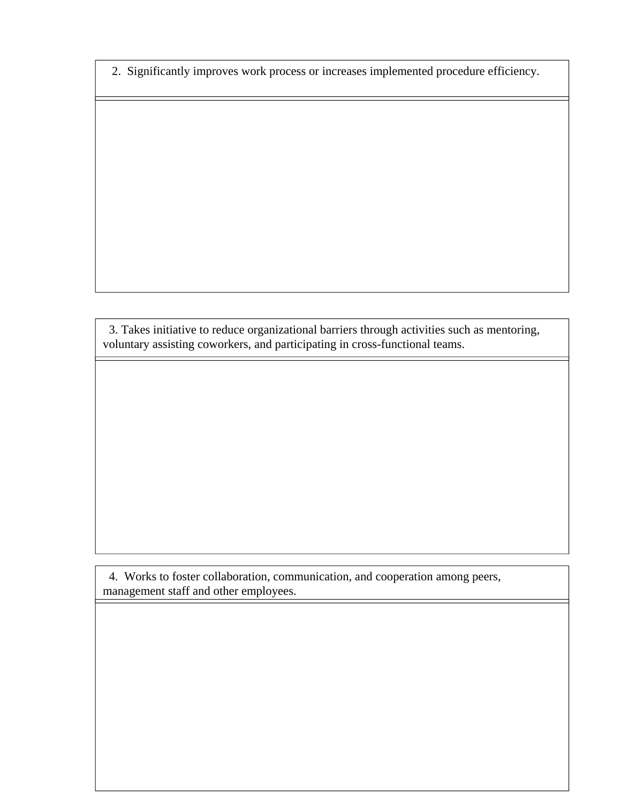2. Significantly improves work process or increases implemented procedure efficiency.

 3. Takes initiative to reduce organizational barriers through activities such as mentoring, voluntary assisting coworkers, and participating in cross-functional teams.

 4. Works to foster collaboration, communication, and cooperation among peers, management staff and other employees.

I